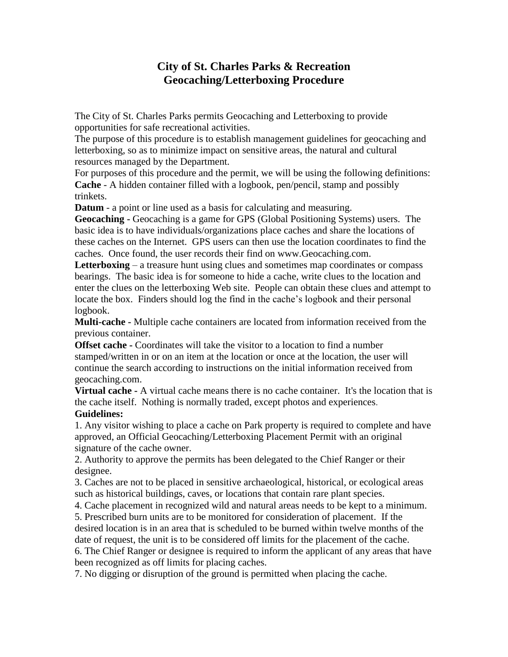## **City of St. Charles Parks & Recreation Geocaching/Letterboxing Procedure**

The City of St. Charles Parks permits Geocaching and Letterboxing to provide opportunities for safe recreational activities.

The purpose of this procedure is to establish management guidelines for geocaching and letterboxing, so as to minimize impact on sensitive areas, the natural and cultural resources managed by the Department.

For purposes of this procedure and the permit, we will be using the following definitions: **Cache** - A hidden container filled with a logbook, pen/pencil, stamp and possibly trinkets.

**Datum** - a point or line used as a basis for calculating and measuring.

**Geocaching -** Geocaching is a game for GPS (Global Positioning Systems) users. The basic idea is to have individuals/organizations place caches and share the locations of these caches on the Internet. GPS users can then use the location coordinates to find the caches. Once found, the user records their find on www.Geocaching.com.

Letterboxing – a treasure hunt using clues and sometimes map coordinates or compass bearings. The basic idea is for someone to hide a cache, write clues to the location and enter the clues on the letterboxing Web site. People can obtain these clues and attempt to locate the box. Finders should log the find in the cache's logbook and their personal logbook.

**Multi-cache -** Multiple cache containers are located from information received from the previous container.

**Offset cache -** Coordinates will take the visitor to a location to find a number stamped/written in or on an item at the location or once at the location, the user will continue the search according to instructions on the initial information received from geocaching.com.

**Virtual cache -** A virtual cache means there is no cache container. It's the location that is the cache itself. Nothing is normally traded, except photos and experiences. **Guidelines:**

1. Any visitor wishing to place a cache on Park property is required to complete and have approved, an Official Geocaching/Letterboxing Placement Permit with an original signature of the cache owner.

2. Authority to approve the permits has been delegated to the Chief Ranger or their designee.

3. Caches are not to be placed in sensitive archaeological, historical, or ecological areas such as historical buildings, caves, or locations that contain rare plant species.

4. Cache placement in recognized wild and natural areas needs to be kept to a minimum.

5. Prescribed burn units are to be monitored for consideration of placement. If the desired location is in an area that is scheduled to be burned within twelve months of the date of request, the unit is to be considered off limits for the placement of the cache.

6. The Chief Ranger or designee is required to inform the applicant of any areas that have been recognized as off limits for placing caches.

7. No digging or disruption of the ground is permitted when placing the cache.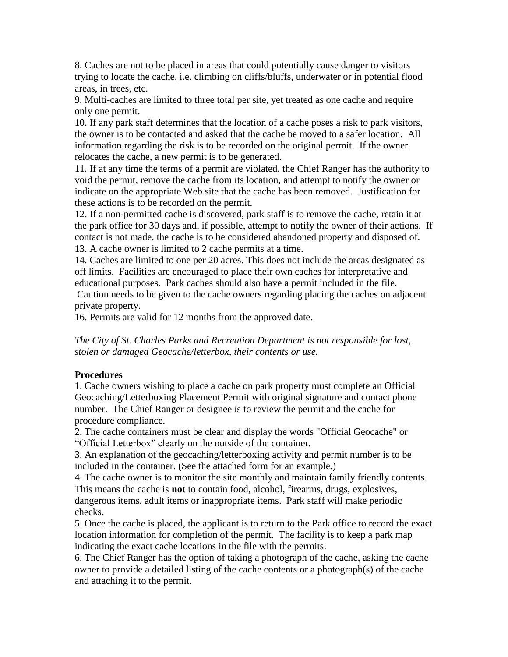8. Caches are not to be placed in areas that could potentially cause danger to visitors trying to locate the cache, i.e. climbing on cliffs/bluffs, underwater or in potential flood areas, in trees, etc.

9. Multi-caches are limited to three total per site, yet treated as one cache and require only one permit.

10. If any park staff determines that the location of a cache poses a risk to park visitors, the owner is to be contacted and asked that the cache be moved to a safer location. All information regarding the risk is to be recorded on the original permit. If the owner relocates the cache, a new permit is to be generated.

11. If at any time the terms of a permit are violated, the Chief Ranger has the authority to void the permit, remove the cache from its location, and attempt to notify the owner or indicate on the appropriate Web site that the cache has been removed. Justification for these actions is to be recorded on the permit.

12. If a non-permitted cache is discovered, park staff is to remove the cache, retain it at the park office for 30 days and, if possible, attempt to notify the owner of their actions. If contact is not made, the cache is to be considered abandoned property and disposed of. 13. A cache owner is limited to 2 cache permits at a time.

14. Caches are limited to one per 20 acres. This does not include the areas designated as off limits. Facilities are encouraged to place their own caches for interpretative and educational purposes. Park caches should also have a permit included in the file. Caution needs to be given to the cache owners regarding placing the caches on adjacent private property.

16. Permits are valid for 12 months from the approved date.

*The City of St. Charles Parks and Recreation Department is not responsible for lost, stolen or damaged Geocache/letterbox, their contents or use.*

### **Procedures**

1. Cache owners wishing to place a cache on park property must complete an Official Geocaching/Letterboxing Placement Permit with original signature and contact phone number. The Chief Ranger or designee is to review the permit and the cache for procedure compliance.

2. The cache containers must be clear and display the words "Official Geocache" or "Official Letterbox" clearly on the outside of the container.

3. An explanation of the geocaching/letterboxing activity and permit number is to be included in the container. (See the attached form for an example.)

4. The cache owner is to monitor the site monthly and maintain family friendly contents. This means the cache is **not** to contain food, alcohol, firearms, drugs, explosives, dangerous items, adult items or inappropriate items. Park staff will make periodic checks.

5. Once the cache is placed, the applicant is to return to the Park office to record the exact location information for completion of the permit. The facility is to keep a park map indicating the exact cache locations in the file with the permits.

6. The Chief Ranger has the option of taking a photograph of the cache, asking the cache owner to provide a detailed listing of the cache contents or a photograph(s) of the cache and attaching it to the permit.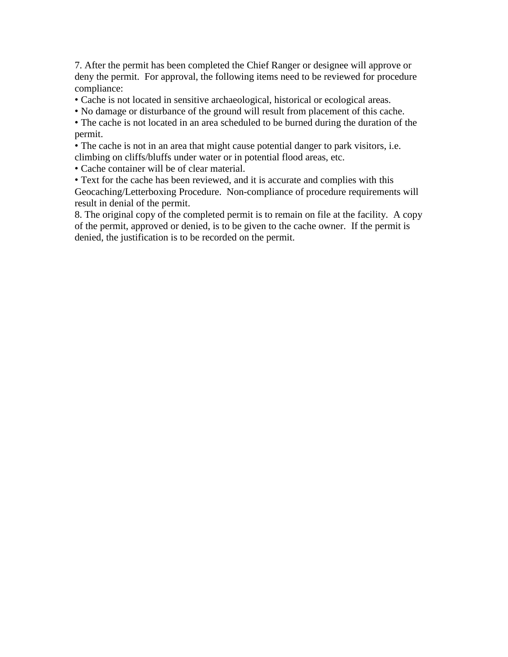7. After the permit has been completed the Chief Ranger or designee will approve or deny the permit. For approval, the following items need to be reviewed for procedure compliance:

- Cache is not located in sensitive archaeological, historical or ecological areas.
- No damage or disturbance of the ground will result from placement of this cache.

• The cache is not located in an area scheduled to be burned during the duration of the permit.

• The cache is not in an area that might cause potential danger to park visitors, i.e. climbing on cliffs/bluffs under water or in potential flood areas, etc.

• Cache container will be of clear material.

• Text for the cache has been reviewed, and it is accurate and complies with this Geocaching/Letterboxing Procedure. Non-compliance of procedure requirements will result in denial of the permit.

8. The original copy of the completed permit is to remain on file at the facility. A copy of the permit, approved or denied, is to be given to the cache owner. If the permit is denied, the justification is to be recorded on the permit.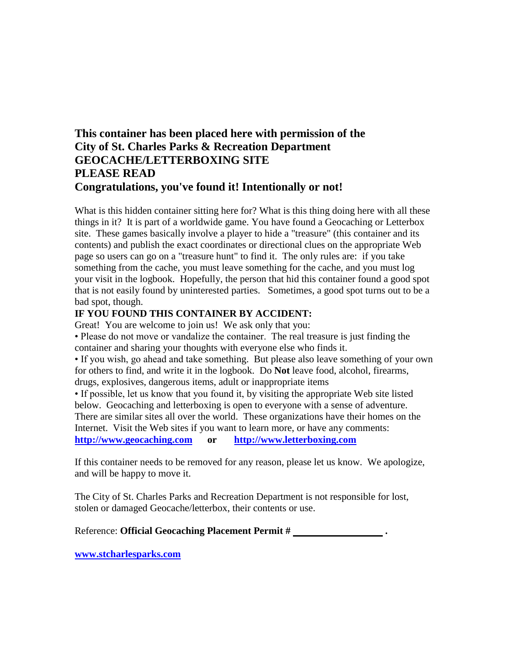## **This container has been placed here with permission of the City of St. Charles Parks & Recreation Department GEOCACHE/LETTERBOXING SITE PLEASE READ Congratulations, you've found it! Intentionally or not!**

What is this hidden container sitting here for? What is this thing doing here with all these things in it? It is part of a worldwide game. You have found a Geocaching or Letterbox site. These games basically involve a player to hide a "treasure" (this container and its contents) and publish the exact coordinates or directional clues on the appropriate Web page so users can go on a "treasure hunt" to find it. The only rules are: if you take something from the cache, you must leave something for the cache, and you must log your visit in the logbook. Hopefully, the person that hid this container found a good spot that is not easily found by uninterested parties. Sometimes, a good spot turns out to be a bad spot, though.

### **IF YOU FOUND THIS CONTAINER BY ACCIDENT:**

Great! You are welcome to join us! We ask only that you:

• Please do not move or vandalize the container. The real treasure is just finding the container and sharing your thoughts with everyone else who finds it.

• If you wish, go ahead and take something. But please also leave something of your own for others to find, and write it in the logbook. Do **Not** leave food, alcohol, firearms, drugs, explosives, dangerous items, adult or inappropriate items

• If possible, let us know that you found it, by visiting the appropriate Web site listed below. Geocaching and letterboxing is open to everyone with a sense of adventure. There are similar sites all over the world. These organizations have their homes on the Internet. Visit the Web sites if you want to learn more, or have any comments: **[http://www.geocaching.com](http://www.geocaching.com/) or [http://www.letterboxing.com](http://www.letterboxing.com/)**

If this container needs to be removed for any reason, please let us know. We apologize, and will be happy to move it.

The City of St. Charles Parks and Recreation Department is not responsible for lost, stolen or damaged Geocache/letterbox, their contents or use.

Reference: **Official Geocaching Placement Permit # .**

**[www.stcharlesparks.com](http://www.stcharlesparks.com/)**